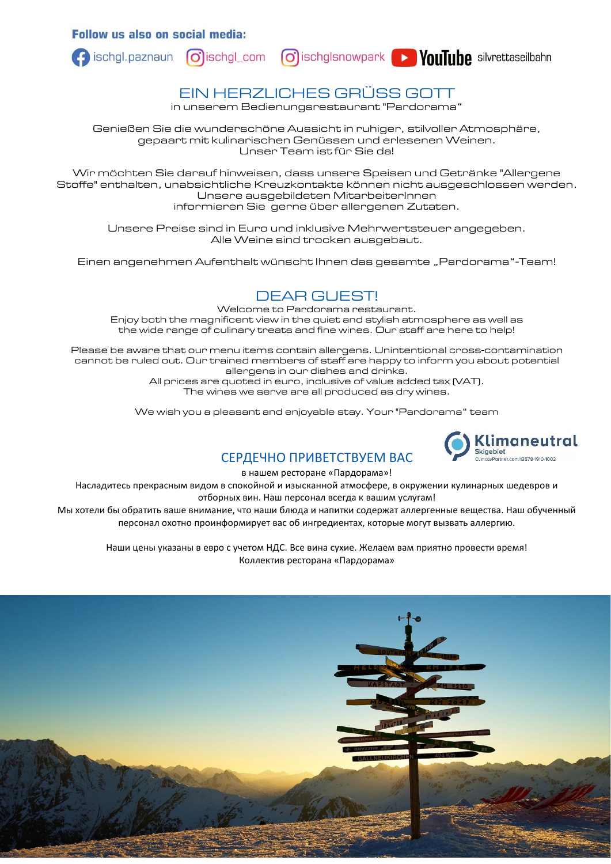**Follow us also on social media:** 





### EIN HERZLICHES GRÜSS GOTT

in unserem Bedienungsrestaurant "Pardorama"

Genießen Sie die wunderschöne Aussicht in ruhiger, stilvoller Atmosphäre, gepaart mit kulinarischen Genüssen und erlesenen Weinen. Unser Team ist für Sie da!

Wir möchten Sie darauf hinweisen, dass unsere Speisen und Getränke "Allergene Stoffe" enthalten, unabsichtliche Kreuzkontakte können nicht ausgeschlossen werden. Unsere ausgebildeten MitarbeiterInnen informieren Sie gerne über allergenen Zutaten.

Unsere Preise sind in Euro und inklusive Mehrwertsteuer angegeben. Alle Weine sind trocken ausgebaut.

Einen angenehmen Aufenthalt wünscht Ihnen das gesamte "Pardorama"-Team!

### DEAR GUEST!

Welcome to Pardorama restaurant. Enjoy both the magnificent view in the quiet and stylish atmosphere as well as the wide range of culinary treats and fine wines. Our staff are here to help!

Please be aware that our menu items contain allergens. Unintentional cross-contamination cannot be ruled out. Our trained members of staff are happy to inform you about potential allergens in our dishes and drinks.

> All prices are quoted in euro, inclusive of value added tax (VAT). The wines we serve are all produced as dry wines.

We wish you a pleasant and enjoyable stay. Your "Pardorama" team



### CЕРДЕЧНО ПРИВЕТСТВУЕМ ВАС

в нашем ресторане «Пардорама»!

Насладитесь прекрасным видом в спокойной и изысканной атмосфере, в окружении кулинарных шедевров и отборных вин. Наш персонал всегда к вашим услугам!

Мы хотели бы обратить ваше внимание, что наши блюда и напитки содержат аллергенные вещества. Наш обученный персонал охотно проинформирует вас об ингредиентах, которые могут вызвать аллергию.

Наши цены указаны в евро с учетом НДС. Все вина сухие. Желаем вам приятно провести время! Коллектив ресторана «Пардорама»

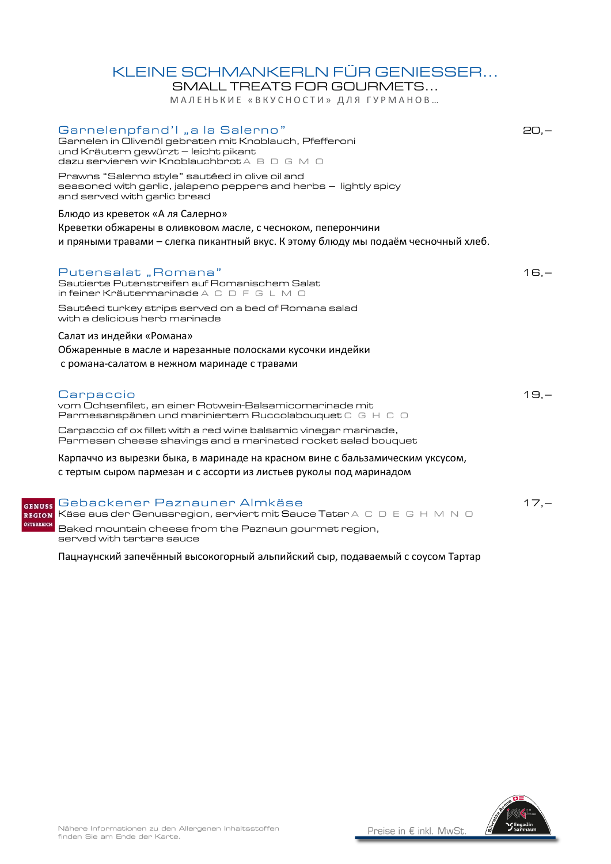## KLEINE SCHMANKERLN FÜR GENIESSER...

SMALL TREATS FOR GOURMETS... МАЛЕНЬКИЕ «ВКУСНОСТИ» ДЛЯ ГУРМАНОВ...

|               | Garnelenpfand'I "a la Salerno"<br>Garnelen in Olivenöl gebraten mit Knoblauch, Pfefferoni<br>und Kräutern gewürzt - leicht pikant<br>dazu servieren wir Knoblauchbrot A B D G M D      | $20. -$ |
|---------------|----------------------------------------------------------------------------------------------------------------------------------------------------------------------------------------|---------|
|               | Prawns "Salerno style" sautéed in olive oil and<br>seasoned with garlic, jalapeno peppers and herbs – lightly spicy<br>and served with garlic bread                                    |         |
|               | Блюдо из креветок «А ля Салерно»<br>Креветки обжарены в оливковом масле, с чесноком, пеперончини<br>и пряными травами – слегка пикантный вкус. К этому блюду мы подаём чесночный хлеб. |         |
|               | Putensalat "Romana"<br>Sautierte Putenstreifen auf Romanischem Salat<br>in feiner Kräutermarinade A C D F G L M O                                                                      | $16,-$  |
|               | Sautéed turkey strips served on a bed of Romana salad<br>with a delicious herb marinade                                                                                                |         |
|               | Салат из индейки «Романа»<br>Обжаренные в масле и нарезанные полосками кусочки индейки<br>с романа-салатом в нежном маринаде с травами                                                 |         |
|               | Carpaccio<br>vom Ochsenfilet, an einer Rotwein-Balsamicomarinade mit<br>Parmesanspänen und mariniertem Ruccolabouquet C G H C O                                                        | $19,-$  |
|               | Carpaccio of ox fillet with a red wine balsamic vinegar marinade,<br>Parmesan cheese shavings and a marinated rocket salad bouquet                                                     |         |
|               | Карпаччо из вырезки быка, в маринаде на красном вине с бальзамическим уксусом,<br>с тертым сыром пармезан и с ассорти из листьев руколы под маринадом                                  |         |
| <b>GENUSS</b> | Gebackener Paznauner Almkäse<br>REGION Käse aus der Genussregion, serviert mit Sauce Tatar A C D E G H M N O                                                                           | $17,-$  |

Baked mountain cheese from the Paznaun gourmet region, served with tartare sauce

ÖSTERREICH

Пацнаунский запечённый высокогорный альпийский сыр, подаваемый с соусом Тартар

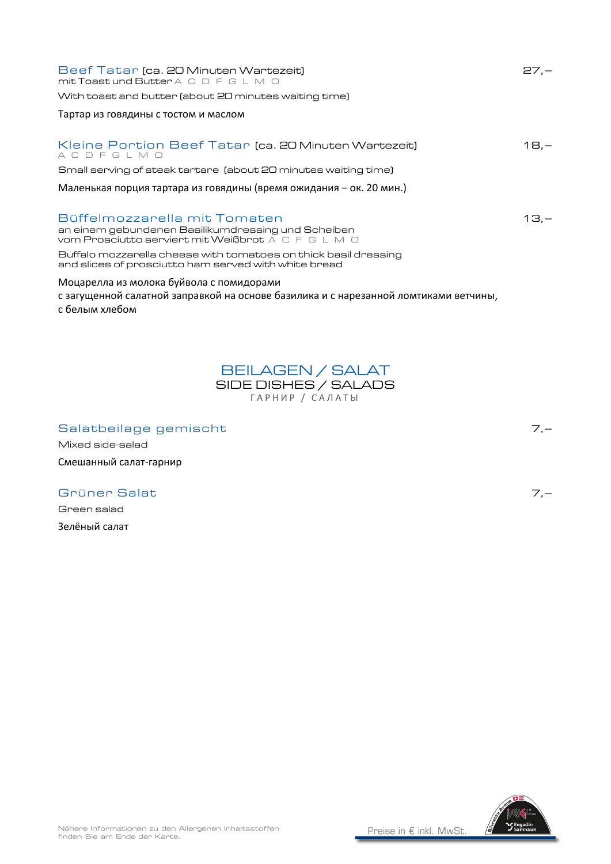| Beef Tatar (ca. 20 Minuten Wartezeit)<br>mit Toast und Butter A C D F G L M O<br>With toast and butter (about 20 minutes waiting time)             | $27 -$ |
|----------------------------------------------------------------------------------------------------------------------------------------------------|--------|
| Тартар из говядины с тостом и маслом                                                                                                               |        |
| Kleine Portion Beef Tatar (ca. 20 Minuten Wartezeit)<br>ACDFGLMO                                                                                   | $18 -$ |
| Small serving of steak tartare (about 20 minutes waiting time)                                                                                     |        |
| Маленькая порция тартара из говядины (время ожидания – ок. 20 мин.)                                                                                |        |
| Büffelmozzarella mit Tomaten<br>an einem gebundenen Basilikumdressing und Scheiben<br>vom Prosciutto serviert mit Weißbrot A C F G L M O           | 13.—   |
| Buffalo mozzarella cheese with tomatoes on thick basil dressing<br>and slices of prosciutto ham served with white bread                            |        |
| Моцарелла из молока буйвола с помидорами<br>с загущенной салатной заправкой на основе базилика и с нарезанной ломтиками ветчины,<br>с белым хлебом |        |



Mixed side-salad

Green salad Зелёный салат

Смешанный салат-гарнир



Grüner Salat 7,–

Salatbeilage gemischt 7,-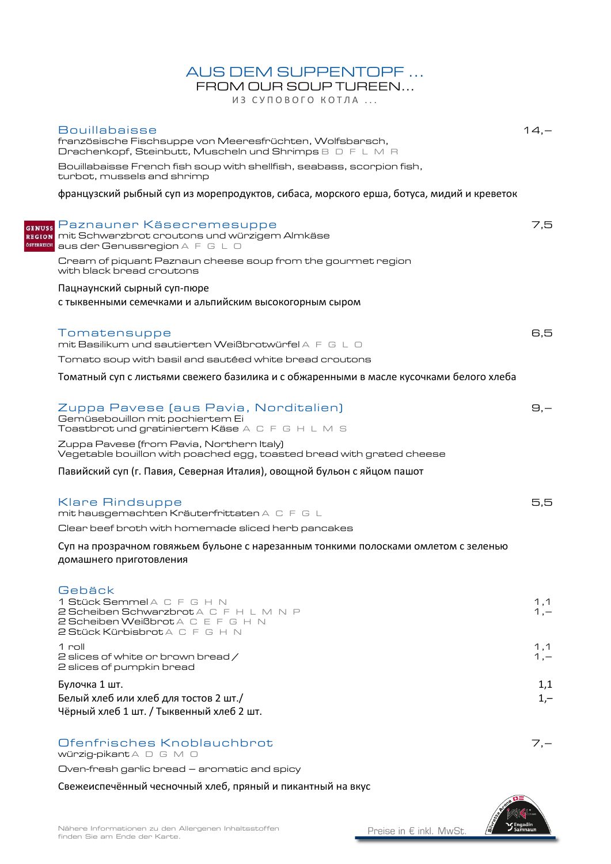### AUS DEM SUPPENTOPF ...

FROM OUR SOUP TUREEN... ИЗ СУПОВОГО КОТЛА ...

| <b>Bouillabaisse</b><br>französische Fischsuppe von Meeresfrüchten, Wolfsbarsch,<br>Drachenkopf, Steinbutt, Muscheln und Shrimps B D F L M R | $14 -$     |
|----------------------------------------------------------------------------------------------------------------------------------------------|------------|
| Bouillabaisse French fish soup with shellfish, seabass, scorpion fish,<br>turbot, mussels and shrimp                                         |            |
| французский рыбный суп из морепродуктов, сибаса, морского ерша, ботуса, мидий и креветок                                                     |            |
|                                                                                                                                              |            |
| <sub>uss</sub> Paznauner Käsecremesuppe<br>ron mit Schwarzbrot croutons und würzigem Almkäse<br><b>REIGH aus der Genussregion</b> A F G L O  | 7,5        |
| Cream of piquant Paznaun cheese soup from the gourmet region<br>with black bread croutons                                                    |            |
| Пацнаунский сырный суп-пюре                                                                                                                  |            |
| с тыквенными семечками и альпийским высокогорным сыром                                                                                       |            |
|                                                                                                                                              |            |
| Tomatensuppe                                                                                                                                 | 6,5        |
| mit Basilikum und sautierten Weißbrotwürfel A F G L O                                                                                        |            |
| Tomato soup with basil and sautéed white bread croutons                                                                                      |            |
| Томатный суп с листьями свежего базилика и с обжаренными в масле кусочками белого хлеба                                                      |            |
|                                                                                                                                              |            |
| Zuppa Pavese (aus Pavia, Norditalien)                                                                                                        | $\Theta$ . |
| Gemüsebouillon mit pochiertem Ei<br>Toastbrot und gratiniertem Käse A C F G H L M S                                                          |            |
| Zuppa Pavese (from Pavia, Northern Italy)                                                                                                    |            |
| Vegetable bouillon with poached egg, toasted bread with grated cheese                                                                        |            |
| Павийский суп (г. Павия, Северная Италия), овощной бульон с яйцом пашот                                                                      |            |
|                                                                                                                                              |            |
| <b>Klare Rindsuppe</b>                                                                                                                       | 5,5        |
| mit hausgemachten Kräuterfrittaten A C F G L                                                                                                 |            |
| Clear beef broth with homemade sliced herb pancakes                                                                                          |            |
| Суп на прозрачном говяжьем бульоне с нарезанным тонкими полосками омлетом с зеленью                                                          |            |
| домашнего приготовления                                                                                                                      |            |
|                                                                                                                                              |            |
| Gebäck<br>1 Stück Semmel A C F G H N                                                                                                         | 1,1        |
| 2 Scheiben Schwarzbrot A C F H L M N P                                                                                                       | $1, -$     |
| 2 Scheiben Weißbrot A C E F G H N<br>2 Stück Kürbisbrot A C F G H N                                                                          |            |
| 1 roll                                                                                                                                       | 1,1        |
| 2 slices of white or brown bread /                                                                                                           | $1, -$     |
| 2 slices of pumpkin bread                                                                                                                    |            |
| Булочка 1 шт.                                                                                                                                | 1,1        |
| Белый хлеб или хлеб для тостов 2 шт./<br>Чёрный хлеб 1 шт. / Тыквенный хлеб 2 шт.                                                            | $1,-$      |
|                                                                                                                                              |            |
| Ofenfrisches Knoblauchbrot                                                                                                                   | $7 -$      |
| würzig-pikant A D G M O                                                                                                                      |            |
| Oven-fresh garlic bread - aromatic and spicy                                                                                                 |            |

Свежеиспечённый чесночный хлеб, пряный и пикантный на вкус



GE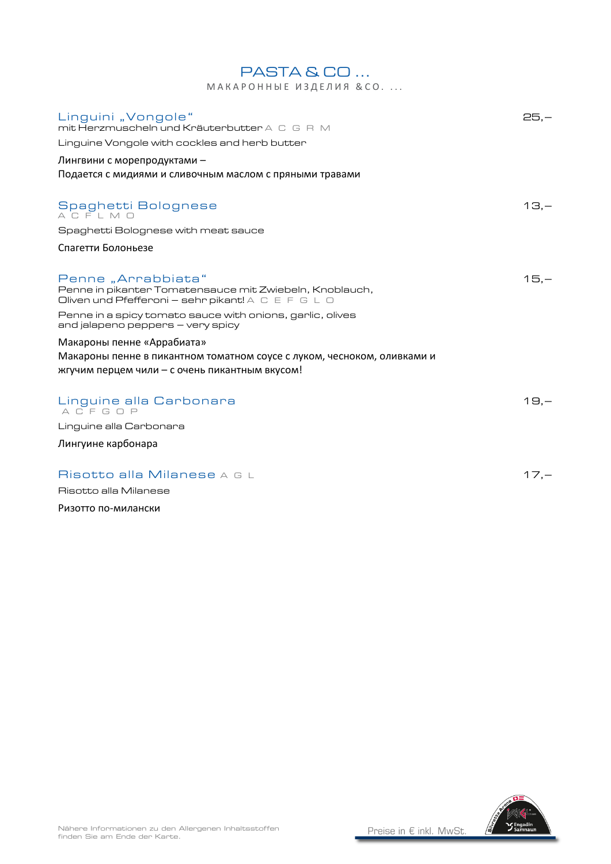| МАКАРОННЫЕ ИЗДЕЛИЯ & СО.                                                                                                                                |        |
|---------------------------------------------------------------------------------------------------------------------------------------------------------|--------|
| Linguini "Vongole"<br>mit Herzmuscheln und Kräuterbutter A C G R M                                                                                      | $25 -$ |
| Linguine Vongole with cockles and herb butter                                                                                                           |        |
| Лингвини с морепродуктами –                                                                                                                             |        |
| Подается с мидиями и сливочным маслом с пряными травами                                                                                                 |        |
| Spaghetti Bolognese<br>ACFLMO                                                                                                                           | $13 -$ |
| Spaghetti Bolognese with meat sauce                                                                                                                     |        |
| Спагетти Болоньезе                                                                                                                                      |        |
| Penne "Arrabbiata"<br>Penne in pikanter Tomatensauce mit Zwiebeln, Knoblauch,<br>Oliven und Pfefferoni - sehr pikant! A C E F G L O                     | $15 -$ |
| Penne in a spicy tomato sauce with onions, garlic, olives<br>and jalapeno peppers – very spicy                                                          |        |
| Макароны пенне «Аррабиата»<br>Макароны пенне в пикантном томатном соусе с луком, чесноком, оливками и<br>жгучим перцем чили – с очень пикантным вкусом! |        |
| Linguine alla Carbonara<br>ACFGOP                                                                                                                       | $19 -$ |
| Linguine alla Carbonara                                                                                                                                 |        |
| Лингуине карбонара                                                                                                                                      |        |
| Risotto alla Milanese A G L                                                                                                                             | $17 -$ |
| Risotto alla Milanese                                                                                                                                   |        |

PASTA & CO ...

Ризотто по-милански

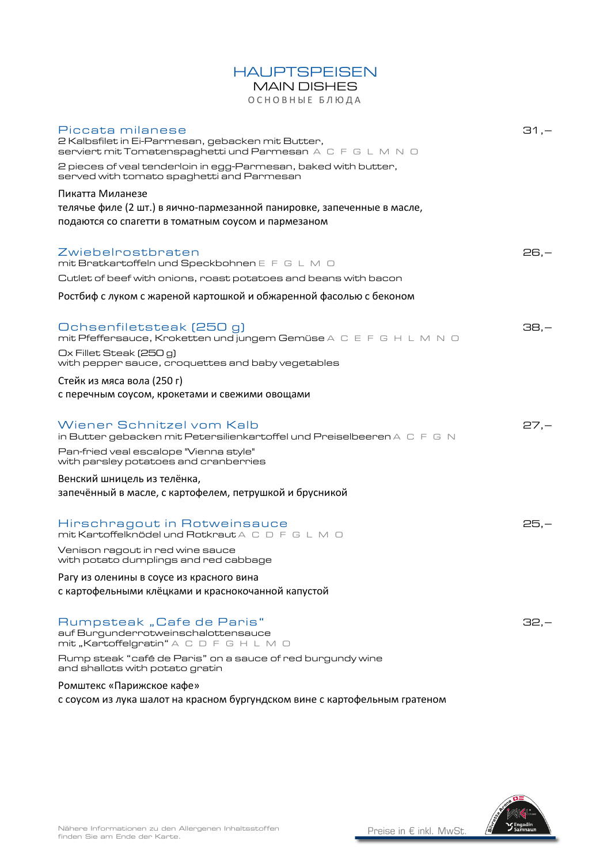### **HAUPTSPEISEN**

# MAIN DISHES

ОСНОВНЫЕ БЛЮДА

| Piccata milanese<br>2 Kalbsfilet in Ei-Parmesan, gebacken mit Butter,<br>Serviert mit Tomatenspaghetti und Parmesan A C F G L M N O | $-1, -15$ |
|-------------------------------------------------------------------------------------------------------------------------------------|-----------|
| 2 pieces of veal tenderloin in egg-Parmesan, baked with butter,<br>served with tomato spaghetti and Parmesan                        |           |
| Пикатта Миланезе                                                                                                                    |           |
| телячье филе (2 шт.) в яично-пармезанной панировке, запеченные в масле,                                                             |           |
| подаются со спагетти в томатным соусом и пармезаном                                                                                 |           |
| Zwiebelrostbraten<br>mit Bratkartoffeln und Speckbohnen E F G L M O                                                                 | $26, -$   |
| Cutlet of beef with onions, roast potatoes and beans with bacon                                                                     |           |
| Ростбиф с луком с жареной картошкой и обжаренной фасолью с беконом                                                                  |           |
| Ochsenfiletsteak (250 g)<br>mit Pfeffersauce, Kroketten und jungem Gemüse A C E F G H L M N O                                       | $38,-$    |
| Ox Fillet Steak (250 g)<br>with pepper sauce, croquettes and baby vegetables                                                        |           |
| Стейк из мяса вола (250 г)                                                                                                          |           |
| с перечным соусом, крокетами и свежими овощами                                                                                      |           |
| Wiener Schnitzel vom Kalb<br>in Butter gebacken mit Petersilienkartoffel und Preiselbeeren $A \subset F \subset N$                  | $27,-$    |
| Pan-fried veal escalope "Vienna style"<br>with parsley potatoes and cranberries                                                     |           |
| Венский шницель из телёнка,                                                                                                         |           |
| запечённый в масле, с картофелем, петрушкой и брусникой                                                                             |           |
| Hirschragout in Rotweinsauce<br>mit Kartoffelknödel und Rotkraut A C D F G L M O                                                    | $25,-$    |
| Venison ragout in red wine sauce<br>with potato dumplings and red cabbage                                                           |           |
| Рагу из оленины в соусе из красного вина                                                                                            |           |
| с картофельными клёцками и краснокочанной капустой                                                                                  |           |
| Rumpsteak "Cafe de Paris"<br>auf Burgunderrotweinschalottensauce<br>mit "Kartoffelgratin" A C D F G H L M O                         | 32,—      |
| Rump steak "café de Paris" on a sauce of red burgundy wine<br>and shallots with potato gratin                                       |           |
| Ромштекс «Парижское кафе»                                                                                                           |           |
| с соусом из лука шалот на красном бургундском вине с картофельным гратеном                                                          |           |

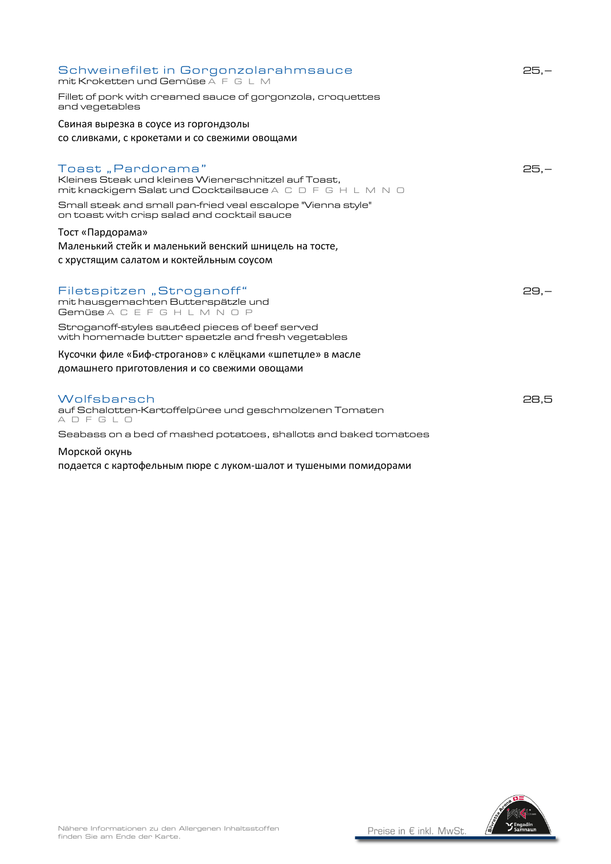| Schweinefilet in Gorgonzolarahmsauce<br>mit Kroketten und Gemüse A F G L M                                                                                                                                                                             | $25 -$ |
|--------------------------------------------------------------------------------------------------------------------------------------------------------------------------------------------------------------------------------------------------------|--------|
| Fillet of pork with creamed sauce of gorgonzola, croquettes<br>and vegetables                                                                                                                                                                          |        |
| Свиная вырезка в соусе из горгондзолы                                                                                                                                                                                                                  |        |
| со сливками, с крокетами и со свежими овощами                                                                                                                                                                                                          |        |
| Toast, Pardorama"<br>Kleines Steak und kleines Wienerschnitzel auf Toast,<br>mit knackigem Salat und Cocktailsauce A C D F G H L M N O<br>Small steak and small pan-fried veal escalope "Vienna style"<br>on toast with crisp salad and cocktail sauce | $25 -$ |
| Тост «Пардорама»<br>Маленький стейк и маленький венский шницель на тосте,<br>с хрустящим салатом и коктейльным соусом                                                                                                                                  |        |
| Filetspitzen "Stroganoff"<br>mit hausgemachten Butterspätzle und<br>Gemüse A C E F G H L M N O P                                                                                                                                                       | $29,-$ |
| Stroganoff-styles sautéed pieces of beef served<br>with homemade butter spaetzle and fresh vegetables                                                                                                                                                  |        |
| Кусочки филе «Биф-строганов» с клёцками «шпетцле» в масле                                                                                                                                                                                              |        |
| домашнего приготовления и со свежими овощами                                                                                                                                                                                                           |        |
|                                                                                                                                                                                                                                                        |        |
| Wolfsbarsch<br>auf Schalotten-Kartoffelpüree und geschmolzenen Tomaten<br>ADFGLO                                                                                                                                                                       | 28.5   |
| Seabass on a bed of mashed potatoes, shallots and baked tomatoes                                                                                                                                                                                       |        |
| Морской окунь                                                                                                                                                                                                                                          |        |

подается с картофельным пюре с луком-шалот и тушеными помидорами

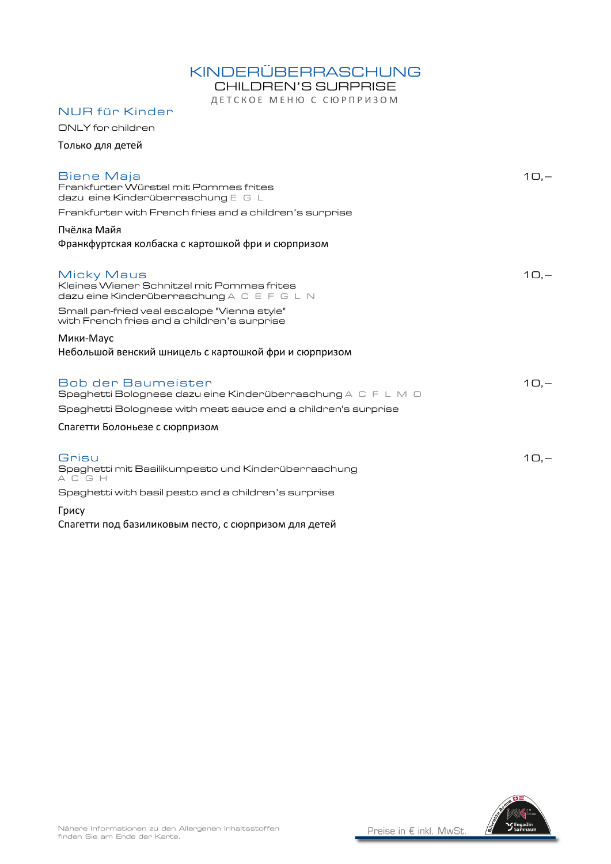### KINDERÜBERRASCHUNG

CHILDREN'S SURPRISE

ДЕТСКОЕ МЕНЮ С СЮРПРИЗОМ

| <b>NUR für Kinder</b>                                                                                  |         |
|--------------------------------------------------------------------------------------------------------|---------|
| ONLY for children                                                                                      |         |
| Только для детей                                                                                       |         |
| Biene Maja<br>Frankfurter Würstel mit Pommes frites<br>dazu eine Kinderüberraschung $E \subseteq L$    | $10 -$  |
| Frankfurter with French fries and a children's surprise                                                |         |
| Пчёлка Майя<br>Франкфуртская колбаска с картошкой фри и сюрпризом                                      |         |
| Micky Maus<br>Kleines Wiener Schnitzel mit Pommes frites<br>dazu eine Kinderüberraschung A C E F G L N | $10, -$ |
| Small pan-fried veal escalope "Vienna style"<br>with French fries and a children's surprise            |         |
| Мики-Маус                                                                                              |         |
| Небольшой венский шницель с картошкой фри и сюрпризом                                                  |         |
| Bob der Baumeister<br>Spaghetti Bolognese dazu eine Kinderüberraschung A $\subset$ F L M $\cup$        | $10 -$  |
| Spaghetti Bolognese with meat sauce and a children's surprise                                          |         |
| Спагетти Болоньезе с сюрпризом                                                                         |         |
| Grisu<br>Spaghetti mit Basilikumpesto und Kinderüberraschung<br>A C G H                                | $10,-$  |
| Spaghetti with basil pesto and a children's surprise                                                   |         |
| Грису                                                                                                  |         |

Спагетти под базиликовым песто, с сюрпризом для детей

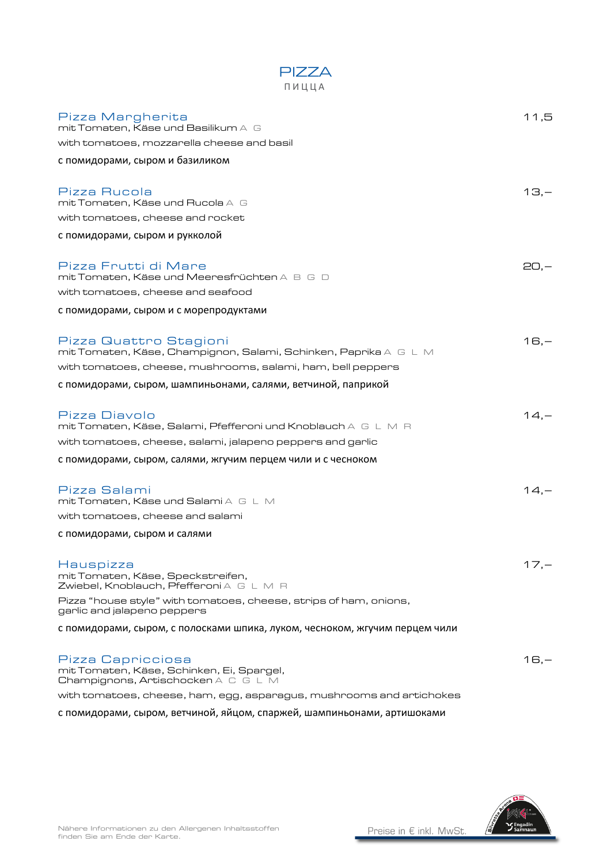| ПИЦЦА                                                                                                 |        |
|-------------------------------------------------------------------------------------------------------|--------|
| Pizza Margherita<br>mit Tomaten, Käse und Basilikum A G<br>with tomatoes, mozzarella cheese and basil | 11,5   |
|                                                                                                       |        |
| с помидорами, сыром и базиликом                                                                       |        |
| Pizza Rucola<br>mit Tomaten, Käse und Rucola A G<br>with tomatoes, cheese and rocket                  | 1З.—   |
| с помидорами, сыром и рукколой                                                                        |        |
|                                                                                                       |        |
| Pizza Frutti di Mare<br>mit Tomaten, Käse und Meeresfrüchten A B G D                                  | 20.—   |
| with tomatoes, cheese and seafood                                                                     |        |
| с помидорами, сыром и с морепродуктами                                                                |        |
|                                                                                                       |        |
| Pizza Quattro Stagioni<br>mit Tomaten, Käse, Champignon, Salami, Schinken, Paprika A G L M            | $16,-$ |
| with tomatoes, cheese, mushrooms, salami, ham, bell peppers                                           |        |
| с помидорами, сыром, шампиньонами, салями, ветчиной, паприкой                                         |        |
|                                                                                                       |        |
| Pizza Diavolo<br>mit Tomaten, Käse, Salami, Pfefferoni und Knoblauch A G L M R                        | $14,-$ |
| with tomatoes, cheese, salami, jalapeno peppers and garlic                                            |        |
| с помидорами, сыром, салями, жгучим перцем чили и с чесноком                                          |        |
|                                                                                                       |        |
| Pizza Salami<br>mit Tomaten, Käse und Salami A G L M                                                  | $14,-$ |
| with tomatoes, cheese and salami                                                                      |        |
| с помидорами, сыром и салями                                                                          |        |
|                                                                                                       |        |
| Hauspizza<br>mit Tomaten, Käse, Speckstreifen,<br>Zwiebel, Knoblauch, Pfefferoni A G L M R            | $17 -$ |
| Pizza "house style" with tomatoes, cheese, strips of ham, onions,<br>garlic and jalapeno peppers      |        |
| с помидорами, сыром, с полосками шпика, луком, чесноком, жгучим перцем чили                           |        |
|                                                                                                       |        |
| Pizza Capricciosa<br>mit Tomaten, Käse, Schinken, Ei, Spargel,<br>Champignons, Artischocken A C G L M | $16,-$ |
| with tomatoes, cheese, ham, egg, asparagus, mushrooms and artichokes                                  |        |

PIZZA

с помидорами, сыром, ветчиной, яйцом, спаржей, шампиньонами, артишоками

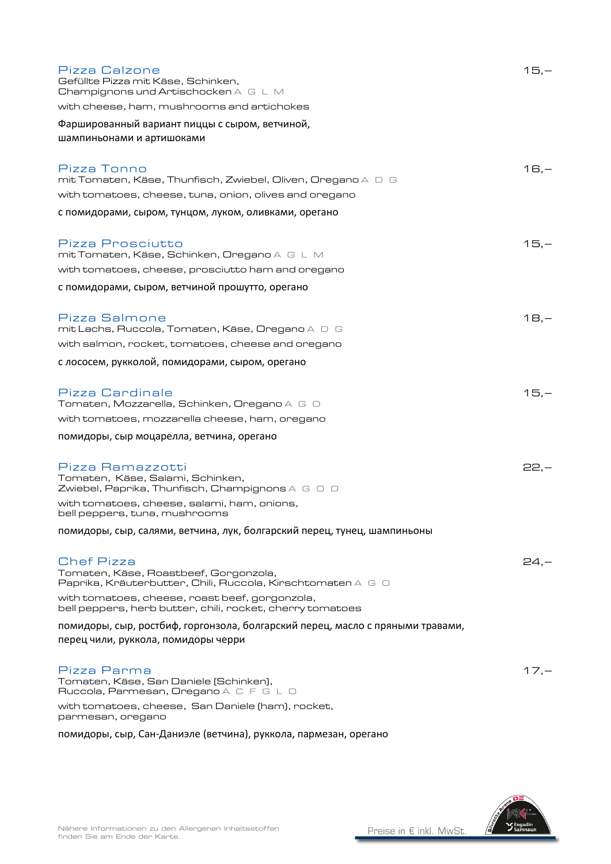| Pizza Calzone<br>Gefüllte Pizza mit Käse, Schinken,<br>Champignons und Artischocken A G L M                                      | $15,-$  |
|----------------------------------------------------------------------------------------------------------------------------------|---------|
| with cheese, ham, mushrooms and artichokes                                                                                       |         |
| Фаршированный вариант пиццы с сыром, ветчиной,<br>шампиньонами и артишоками                                                      |         |
| Pizza Tonno<br>mit Tomaten, Käse, Thunfisch, Zwiebel, Oliven, Oregano A $\,\mathsf D\,$ G                                        | $16,-$  |
| with tomatoes, cheese, tuna, onion, olives and oregano                                                                           |         |
| с помидорами, сыром, тунцом, луком, оливками, орегано                                                                            |         |
| Pizza Prosciutto<br>mit Tomaten, Käse, Schinken, Oregano A G L M                                                                 | $15,-$  |
| with tomatoes, cheese, prosciutto ham and oregano                                                                                |         |
| с помидорами, сыром, ветчиной прошутто, орегано                                                                                  |         |
| Pizza Salmone<br>mit Lachs, Ruccola, Tomaten, Käse, Oregano A $\;\mathrel{\Box}\; \mathrel{\mathsf{G}}$                          | $18,-$  |
| with salmon, rocket, tomatoes, cheese and oregano                                                                                |         |
| с лососем, рукколой, помидорами, сыром, орегано                                                                                  |         |
| <b>Pizza Cardinale</b><br>Tomaten, Mozzarella, Schinken, Oregano A G O                                                           | $15,-$  |
| with tomatoes, mozzarella cheese, ham, oregano                                                                                   |         |
| помидоры, сыр моцарелла, ветчина, орегано                                                                                        |         |
| Pizza Ramazzotti<br>Tomaten, Käse, Salami, Schinken,<br>Zwiebel, Paprika, Thunfisch, Champignons $\land\;\;\Box\;\;\Box\;\;\Box$ | $22 -$  |
| with tomatoes, cheese, salami, ham, onions,<br>bell peppers, tuna, mushrooms                                                     |         |
| помидоры, сыр, салями, ветчина, лук, болгарский перец, тунец, шампиньоны                                                         |         |
| <b>Chef Pizza</b><br>Tomaten, Käse, Roastbeef, Gorgonzola,<br>Paprika, Kräuterbutter, Chili, Ruccola, Kirschtomaten A G O        | 24.—    |
| with tomatoes, cheese, roast beef, gorgonzola,<br>bell peppers, herb butter, chili, rocket, cherry tomatoes                      |         |
| помидоры, сыр, ростбиф, горгонзола, болгарский перец, масло с пряными травами,<br>перец чили, руккола, помидоры черри            |         |
| Pizza Parma<br>Tomaten, Käse, San Daniele (Schinken),<br>Ruccola, Parmesan, Oregano A C F G L O                                  | $17, -$ |
| with tomatoes, cheese, San Daniele (ham), rocket,<br>parmesan, oregano                                                           |         |

помидоры, сыр, Сан-Даниэле (ветчина), руккола, пармезан, орегано

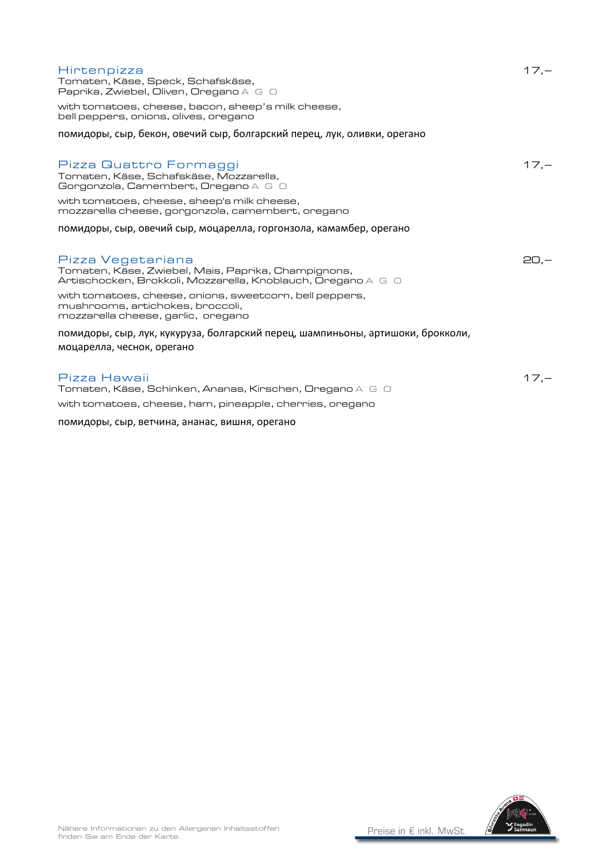| Hirtenpizza<br>Tomaten, Käse, Speck, Schafskäse,<br>Paprika, Zwiebel, Oliven, Oregano A G O<br>with tomatoes, cheese, bacon, sheep's milk cheese,<br>bell peppers, onions, olives, oregano                   | $17 -$  |
|--------------------------------------------------------------------------------------------------------------------------------------------------------------------------------------------------------------|---------|
| помидоры, сыр, бекон, овечий сыр, болгарский перец, лук, оливки, орегано                                                                                                                                     |         |
| Pizza Quattro Formaggi<br>Tomaten, Käse, Schafskäse, Mozzarella,<br>Gorgonzola, Camembert, Oregano A G O<br>with tomatoes, cheese, sheep's milk cheese,<br>mozzarella cheese, gorgonzola, camembert, oregano | $17 -$  |
| помидоры, сыр, овечий сыр, моцарелла, горгонзола, камамбер, орегано                                                                                                                                          |         |
|                                                                                                                                                                                                              |         |
| Pizza Vegetariana<br>Tomaten, Käse, Zwiebel, Mais, Paprika, Champignons,<br>Artischocken, Brokkoli, Mozzarella, Knoblauch, Oregano A G O                                                                     | $20, -$ |
| with tomatoes, cheese, onions, sweetcorn, bell peppers,<br>mushrooms, artichokes, broccoli,<br>mozzarella cheese, garlic, oregano                                                                            |         |
| помидоры, сыр, лук, кукуруза, болгарский перец, шампиньоны, артишоки, брокколи,<br>моцарелла, чеснок, орегано                                                                                                |         |
| Pizza Hawaii<br>Tomaten, Käse, Schinken, Ananas, Kirschen, Oregano A G $\Box$                                                                                                                                | $17 -$  |
| with tomatoes, cheese, ham, pineapple, cherries, oregano                                                                                                                                                     |         |
| помидоры, сыр, ветчина, ананас, вишня, орегано                                                                                                                                                               |         |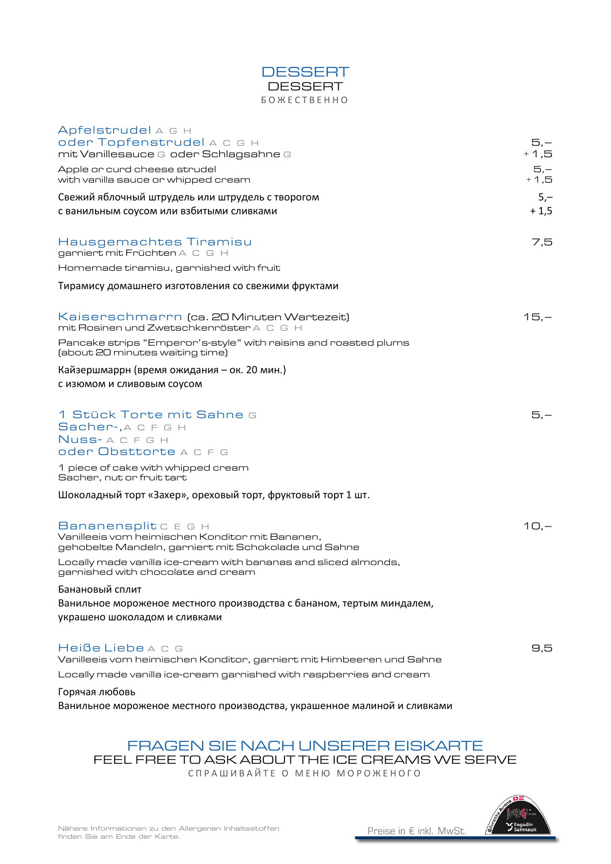

| Apfelstrudel A G H<br>oder Topfenstrudel A C G H<br>mit Vanillesauce G oder Schlagsahne G                                       | $5,-$<br>$+1,5$  |
|---------------------------------------------------------------------------------------------------------------------------------|------------------|
| Apple or curd cheese strudel<br>with vanilla sauce or whipped cream                                                             | $5, -$<br>$+1,5$ |
| Свежий яблочный штрудель или штрудель с творогом<br>с ванильным соусом или взбитыми сливками                                    | $5,-$<br>$+1,5$  |
| Hausgemachtes Tiramisu<br>garniert mit Früchten A C G H                                                                         | 7.5              |
| Homemade tiramisu, garnished with fruit                                                                                         |                  |
| Тирамису домашнего изготовления со свежими фруктами                                                                             |                  |
| Kaiserschmarrn (ca. 20 Minuten Wartezeit)<br>mit Rosinen und Zwetschkenröster A $\, \mathbb C \,$ G $\,$ H                      | $15,-$           |
| Pancake strips "Emperor's-style" with raisins and roasted plums<br>(about 20 minutes waiting time)                              |                  |
| Кайзершмаррн (время ожидания – ок. 20 мин.)<br>с изюмом и сливовым соусом                                                       |                  |
| 1 Stück Torte mit Sahne G<br>Sacher-, A C F G H<br>Nuss-ACFGH<br>oder Obsttorte A C F G                                         | 5.—              |
| 1 piece of cake with whipped cream<br>Sacher, nut or fruit tart                                                                 |                  |
| Шоколадный торт «Захер», ореховый торт, фруктовый торт 1 шт.                                                                    |                  |
| Bananensplit C E G H<br>Vanilleeis vom heimischen Konditor mit Bananen,<br>gehobelte Mandeln, garniert mit Schokolade und Sahne | $10, -$          |
| Locally made vanilla ice-cream with bananas and sliced almonds,<br>garnished with chocolate and cream                           |                  |
| Банановый сплит<br>Ванильное мороженое местного производства с бананом, тертым миндалем,<br>украшено шоколадом и сливками       |                  |
| Heiße Liebe A C G<br>Vanilleeis vom heimischen Konditor, garniert mit Himbeeren und Sahne                                       | 9,5              |
| Locally made vanilla ice-cream garnished with raspberries and cream                                                             |                  |
| Горячая любовь                                                                                                                  |                  |

Ванильное мороженое местного производства, украшенное малиной и сливками

### FRAGEN SIE NACH UNSERER EISKARTE FEEL FREE TO ASK ABOUT THE ICE CREAMS WE SERVE

СПРАШИВАЙТЕ О МЕНЮ МОРОЖЕНОГО

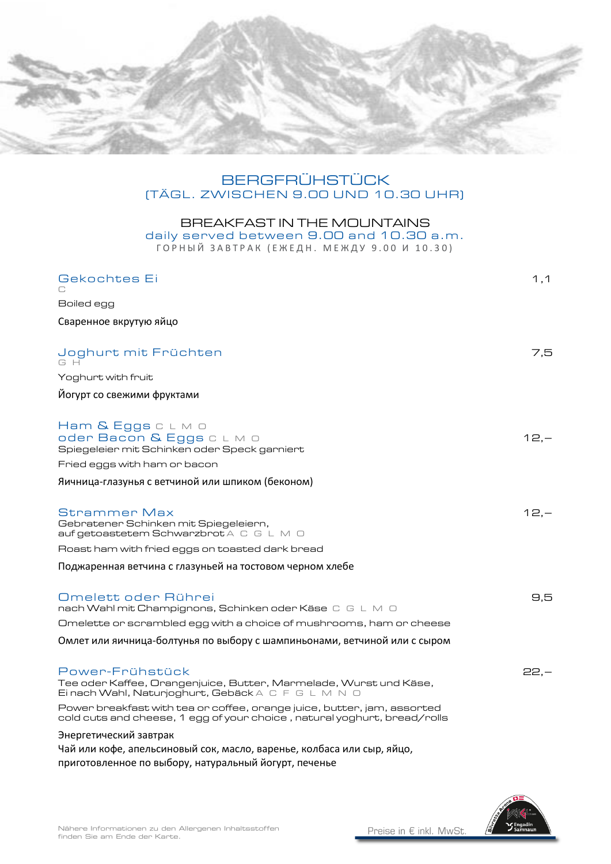

### BERGFRÜHSTÜCK (TÄGL. ZWISCHEN 9.00 UND 10.30 UHR)

#### BREAKFAST IN THE MOUNTAINS daily served between 9.00 and 10.30 a.m. ГОРНЫЙ ЗАВТРАК (ЕЖЕДН. МЕЖДУ 9.00 И 10.30)

| Gekochtes Ei                                                                                                                                         | 1,1     |
|------------------------------------------------------------------------------------------------------------------------------------------------------|---------|
| Boiled egg                                                                                                                                           |         |
| Сваренное вкрутую яйцо                                                                                                                               |         |
|                                                                                                                                                      |         |
| Joghurt mit Früchten<br>G H                                                                                                                          | 7,5     |
| Yoghurt with fruit                                                                                                                                   |         |
| Йогурт со свежими фруктами                                                                                                                           |         |
| Ham & Eggs c L M O<br>oder Bacon & Eggs CLMO<br>Spiegeleier mit Schinken oder Speck garniert                                                         | $12 -$  |
| Fried eggs with ham or bacon                                                                                                                         |         |
| Яичница-глазунья с ветчиной или шпиком (беконом)                                                                                                     |         |
| Strammer Max<br>Gebratener Schinken mit Spiegeleiern,<br>auf getoastetem Schwarzbrot A C G L M O                                                     | $12, -$ |
| Roast ham with fried eggs on toasted dark bread                                                                                                      |         |
| Поджаренная ветчина с глазуньей на тостовом черном хлебе                                                                                             |         |
| Omelett oder Rührei<br>nach Wahl mit Champignons, Schinken oder Käse C G L M O                                                                       | 9,5     |
| Omelette or scrambled egg with a choice of mushrooms, ham or cheese                                                                                  |         |
| Омлет или яичница-болтунья по выбору с шампиньонами, ветчиной или с сыром                                                                            |         |
| Power-Frühstück<br>Tee oder Kaffee, Orangenjuice, Butter, Marmelade, Wurst und Käse,<br>Einach Wahl, Naturjoghurt, Gebäck A C F G L M N O            | $22, -$ |
| Power breakfast with tea or coffee, orange juice, butter, jam, assorted<br>cold cuts and cheese, 1 egg of your choice , natural yoghurt, bread/rolls |         |
| Энергетический завтрак                                                                                                                               |         |

Чай или кофе, апельсиновый сок, масло, варенье, колбаса или сыр, яйцо, приготовленное по выбору, натуральный йогурт, печенье

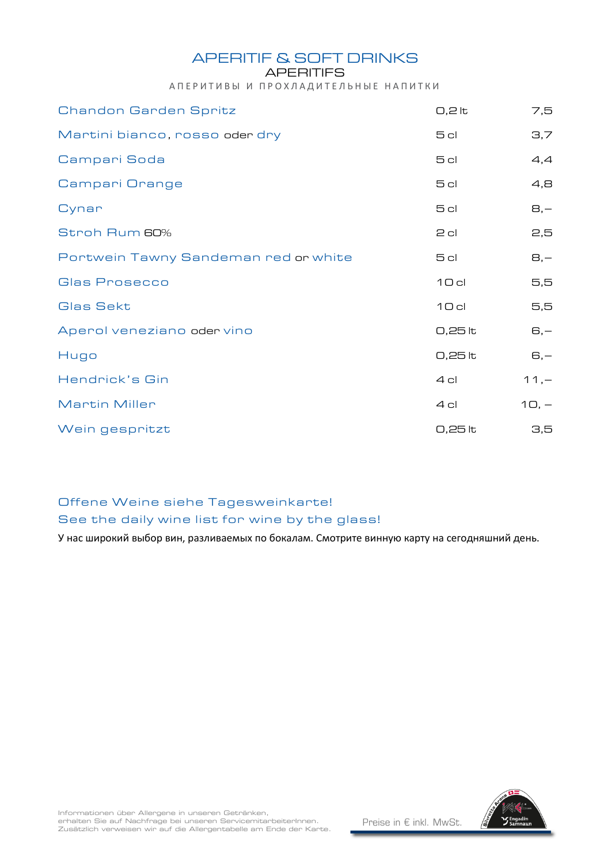APERITIF & SOFT DRINKS

#### **APERITIFS**

АПЕРИТИВЫ И ПРОХЛАДИТЕЛЬНЫЕ НАПИТКИ

| <b>Chandon Garden Spritz</b>         | $0,2$ lt        | 7,5     |
|--------------------------------------|-----------------|---------|
| Martini bianco, rosso oder dry       | 5cl             | 3,7     |
| Campari Soda                         | 5 <sub>cl</sub> | 4,4     |
| Campari Orange                       | 5 <sub>cl</sub> | 4,8     |
| Cynar                                | 5 <sub>cl</sub> | $B, -$  |
| Stroh Rum 60%                        | $2$ cl          | 2,5     |
| Portwein Tawny Sandeman red or white | 5 cl            | $B, -$  |
| Glas Prosecco                        | 10c             | 5,5     |
| Glas Sekt                            | 10c             | 5,5     |
| Aperol veneziano oder vino           | 0,25 lt         | $G, -$  |
| Hugo                                 | 0,25 lt         | $G, -$  |
| Hendrick's Gin                       | $4$ cl          | $11, -$ |
| <b>Martin Miller</b>                 | 4 cl            | $10, -$ |
| Wein gespritzt                       | 0,25 lt         | 3,5     |

### Offene Weine siehe Tagesweinkarte!

### See the daily wine list for wine by the glass!

У нас широкий выбор вин, разливаемых по бокалам. Смотрите винную карту на сегодняшний день.

Informationen über Allergene in unseren Getränken,<br>erhalten Sie auf Nachfrage bei unseren ServicemitarbeiterInnen. Zusätzlich verweisen wir auf die Allergentabelle am Ende der Karte.

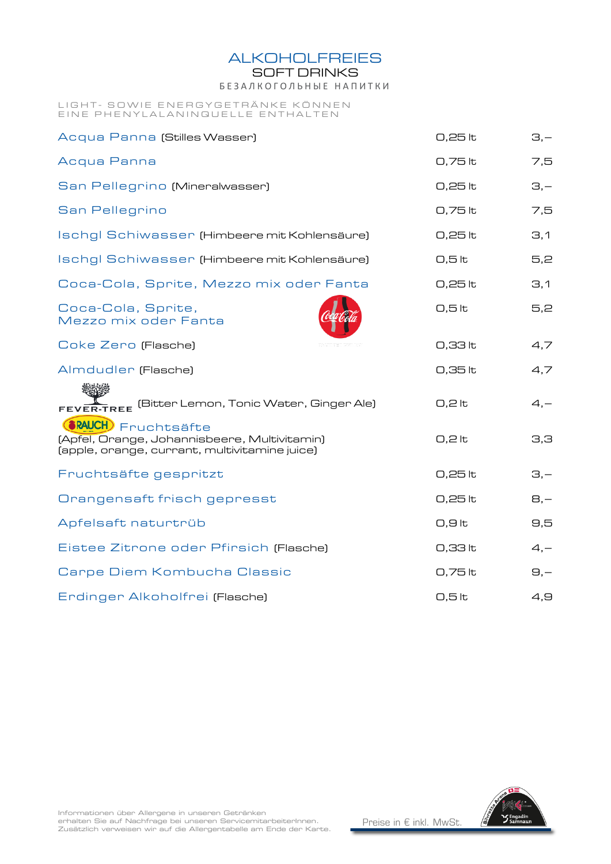**ALKOHOLFREIES** 

SOFT DRINKS

Б Е З А Л К О Г О Л Ь Н Ы Е Н А П И Т К И

#### LIGHT- SOWIE ENERGYGETRANKE KONNEN EINE PHENYLALANINQUELLE ENTHALTEN

| Acqua Panna (Stilles Wasser)                                                                                                 | 0,25 lt             | $\Xi$ , $-$    |
|------------------------------------------------------------------------------------------------------------------------------|---------------------|----------------|
| Acqua Panna                                                                                                                  | 0,75 lt             | 7,5            |
| San Pellegrino (Mineralwasser)                                                                                               | 0,25 lt             | $\Xi$ , $-$    |
| San Pellegrino                                                                                                               | 0,75 lt             | 7,5            |
| Ischgl Schiwasser (Himbeere mit Kohlensäure)                                                                                 | 0,25 lt             | $\mathbf{3,1}$ |
| Ischgl Schiwasser (Himbeere mit Kohlensäure)                                                                                 | $0,5$ <sub>k</sub>  | 5,2            |
| Coca-Cola, Sprite, Mezzo mix oder Fanta                                                                                      | 0,25 lt             | 3,1            |
| Coca-Cola, Sprite,<br>Mezzo mix oder Fanta                                                                                   | $0,5$ <sub>lt</sub> | 5,2            |
| Coke Zero (Flasche)                                                                                                          | 0,33 lt             | 4,7            |
| Almdudler (Flasche)                                                                                                          | 0,35 lt             | 4,7            |
| FEVER-TREE (Bitter Lemon, Tonic Water, Ginger Ale)                                                                           | $0,2$ lt            | $4 -$          |
| <b>SRAUCH</b> ) Fruchtsäfte<br>[Apfel, Orange, Johannisbeere, Multivitamin]<br>(apple, orange, currant, multivitamine juice) | $0,2$ lt            | 3,3            |
| Fruchtsäfte gespritzt                                                                                                        | 0,25 lt             | $\Xi$ , $-$    |
| Orangensaft frisch gepresst                                                                                                  | 0,25 lt             | $B, -$         |
| Apfelsaft naturtrüb                                                                                                          | $O,9$ lt            | 9,5            |
| Eistee Zitrone oder Pfirsich (Flasche)                                                                                       | 0,33 lt             | $4, -$         |
| Carpe Diem Kombucha Classic                                                                                                  | 0,75 lt             | $\Theta$ , $-$ |
| Erdinger Alkoholfrei (Flasche)                                                                                               | $0,5$ <sub>lt</sub> | 4,9            |



Informationen über Allergene in unseren Getränken<br>erhalten Sie auf Nachfrage bei unseren ServicemitarbeiterInnen. Zusätzlich verweisen wir auf die Allergentabelle am Ende der Karte.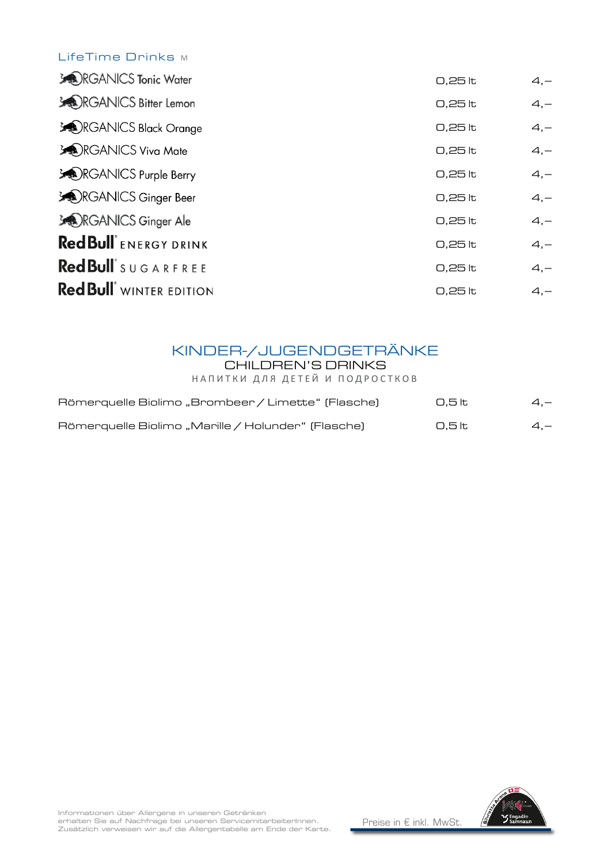### LifeTime Drinks M

| $0,25$ to | $4, -$ |
|-----------|--------|
| $0,25$ to | $4, -$ |
| $0,25$ to | $4, -$ |
| $0,25$ to | $4, -$ |
| $0,25$ lt | $4, -$ |
| $0,25$ to | $4, -$ |
| $0,25$ lt | $4, -$ |
| $0,25$ to | $4, -$ |
| $0,25$ lt | $4, -$ |
| 0,25 lt   | $4, -$ |
|           |        |

## KINDER-/JUGENDGETRÄNKE

CHILDREN'S DRINKS

НАПИТКИ ДЛЯ ДЕТЕЙ И ПОДРОСТКОВ

| Römerquelle Biolimo "Brombeer / Limette" (Flasche) | 0.5 lt | $4 -$ |
|----------------------------------------------------|--------|-------|
| Römerquelle Biolimo "Marille / Holunder" (Flasche) | 0.5 lt | $4 -$ |

Informationen über Allergene in unseren Getränken<br>erhalten Sie auf Nachfrage bei unseren ServicemitarbeiterInnen. Zusätzlich verweisen wir auf die Allergentabelle am Ende der Karte.

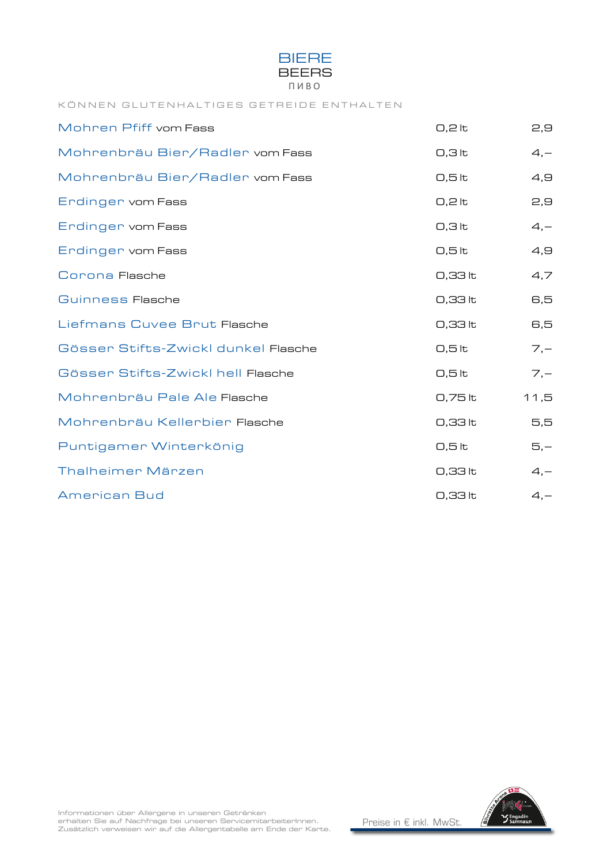

#### KÖNNEN GLUTENHALTIGES GETREIDE ENTHALTEN

| Mohren Pfiff vom Fass               | $0,2$ lt           | 2,9    |
|-------------------------------------|--------------------|--------|
| Mohrenbräu Bier/Radler vom Fass     | $0,3$ lt           | $4, -$ |
| Mohrenbräu Bier/Radler vom Fass     | 0,5 lt             | 4,9    |
| Endingen vom Fass                   | $0,2$ lt           | 2,9    |
| Endingen vom Fass                   | $0,3$ lt           | $4, -$ |
| Endingen vom Fass                   | 0,5 lt             | 4,9    |
| Corona Flasche                      | 0,33 lt            | 4,7    |
| Guinness Flasche                    | 0,33 lt            | 6,5    |
| Liefmans Cuvee Brut Flasche         | 0,33 lt            | 6,5    |
| Gösser Stifts-Zwickl dunkel Flasche | 0,5 lt             | $7, -$ |
| Gösser Stifts-Zwickl hell Flasche   | 0,5 lt             | $7, -$ |
| Mohrenbräu Pale Ale Flasche         | 0,75 lt            | 11,5   |
| Mohrenbräu Kellerbier Flasche       | 0,33 lt            | 5,5    |
| Puntigamer Winterkönig              | $0,5$ <sub>k</sub> | $5,-$  |
| Thalheimer Märzen                   | 0,33 lt            | $4, -$ |
| <b>American Bud</b>                 | 0,33 lt            | $4, -$ |

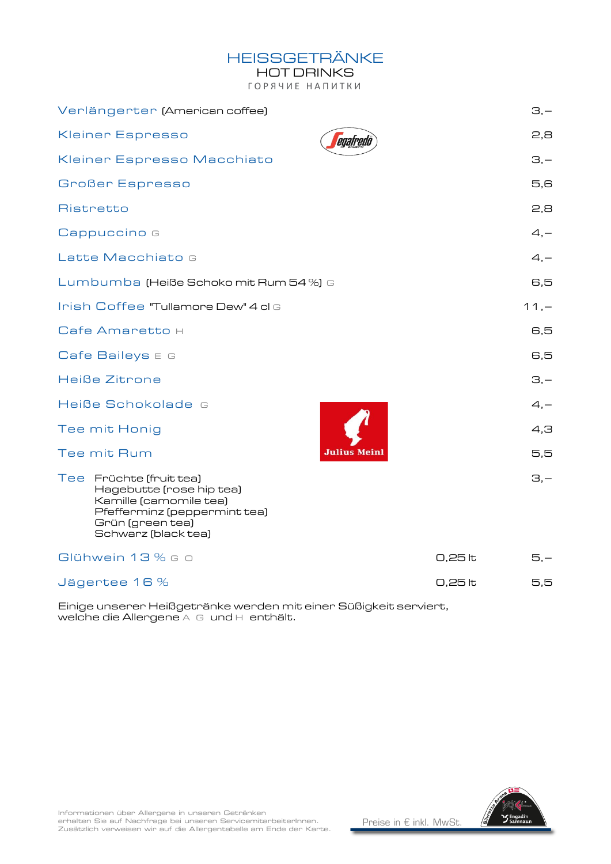### HEISSGETRÄNKE

HOT DRINKS

ГОРЯЧИЕ НАПИТКИ

| Verlängerter (American coffee)                                                                                                                           |         | $\Xi$ , $-$ |
|----------------------------------------------------------------------------------------------------------------------------------------------------------|---------|-------------|
| <b>Kleiner Espresso</b><br>egafredo                                                                                                                      |         | 2,8         |
| Kleiner Espresso Macchiato                                                                                                                               |         | $\Xi$ ,-    |
| <b>Großer Espresso</b>                                                                                                                                   |         | 5,6         |
| Ristretto                                                                                                                                                |         | 2,8         |
| Cappuccino G                                                                                                                                             |         | $4, -$      |
| Latte Macchiato G                                                                                                                                        |         | $4, -$      |
| Lumbumba (Heiße Schoko mit Rum 54 %) G                                                                                                                   |         | 6,5         |
| Irish Coffee "Tullamore Dew" 4 cl G                                                                                                                      |         | $11, -$     |
| Cafe Amaretto H                                                                                                                                          |         | 6,5         |
| $C$ afe Baileys $E$ G                                                                                                                                    |         | 6,5         |
| Heiße Zitrone                                                                                                                                            |         | $\Xi$ , $-$ |
| Heiße Schokolade G                                                                                                                                       |         | $4, -$      |
| Tee mit Honig                                                                                                                                            |         | 4,3         |
| Julius Meinl<br>Tee mit Rum                                                                                                                              |         | 5,5         |
| Tee Früchte (fruit tea)<br>Hagebutte (rose hip tea)<br>Kamille (camomile tea)<br>Pfefferminz (peppermint tea)<br>Grün (green tea)<br>Schwarz (black tea) |         | $\Xi$ ,-    |
| Glühwein 13 % G o                                                                                                                                        | 0,25 lt | $5, -$      |
| Jägertee 16 %                                                                                                                                            | 0,25 lt | 5,5         |
|                                                                                                                                                          |         |             |

Einige unserer Heißgetränke werden mit einer Süßigkeit serviert, welche die Allergene A G und H enthält.



Informationen über Allergene in unseren Getränken<br>erhalten Sie auf Nachfrage bei unseren ServicemitarbeiterInnen.

Zusätzlich verweisen wir auf die Allergentabelle am Ende der Karte.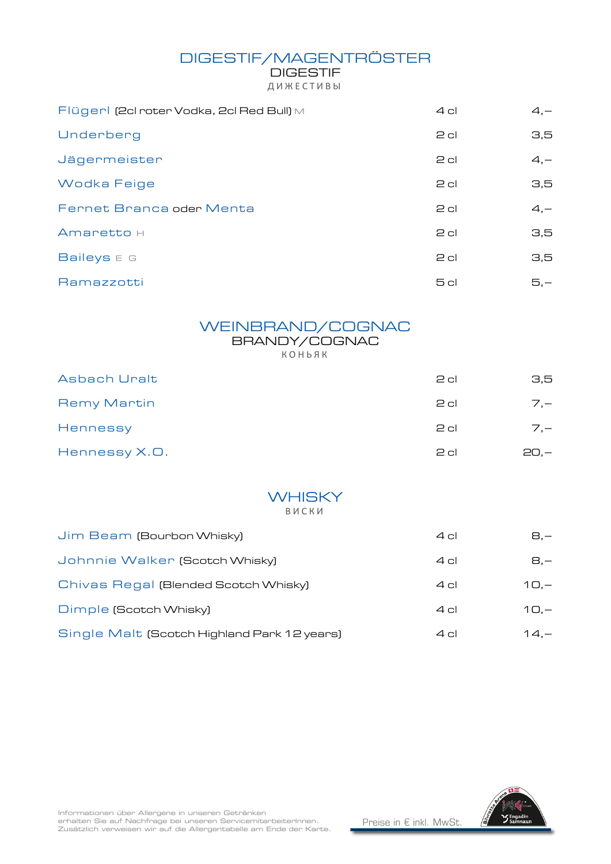## DIGESTIF/MAGENTRÖSTER

DIGESTIF Д И Ж Е С Т И В Ы

| Flügerl (2cl roter Vodka, 2cl Red Bull) M | $4$ cl          | $4, -$ |
|-------------------------------------------|-----------------|--------|
| Underberg                                 | $2$ cl          | 3,5    |
| Jägermeister                              | $2$ cl          | $4, -$ |
| Wodka Feige                               | $2$ cl          | 3,5    |
| Fernet Branca oder Menta                  | $2$ cl          | $4, -$ |
| Amaretto H                                | $2$ cl          | 3,5    |
| Baileys E G                               | $2$ cl          | 3,5    |
| Ramazzotti                                | 5 <sub>cl</sub> | $5, -$ |

#### WEINBRAND/COGNAC BRANDY/COGNAC К О Н Ь Я К

| Asbach Uralt       | $2$ cl | 3,5    |
|--------------------|--------|--------|
| <b>Remy Martin</b> | $2$ cl | $7 -$  |
| Hennessy           | $2$ cl | $7 -$  |
| Hennessy X.O.      | $2$ cl | $20 -$ |

#### **WHISKY** В И С К И

| Jim Beam (Bourbon Whisky)                   | $4$ cl | 8.—     |
|---------------------------------------------|--------|---------|
| Johnnie Walker (Scotch Whisky)              | $4$ cl | 8,-     |
| Chivas Regal (Blended Scotch Whisky)        | $4$ cl | $10 -$  |
| Dimple (Scotch Whisky)                      | $4$ cl | $10 -$  |
| Single Malt (Scotch Highland Park 12 years) | $4$ cl | $14. -$ |



Informationen über Allergene in unseren Getränken<br>erhalten Sie auf Nachfrage bei unseren ServicemitarbeiterInnen. Zusätzlich verweisen wir auf die Allergentabelle am Ende der Karte.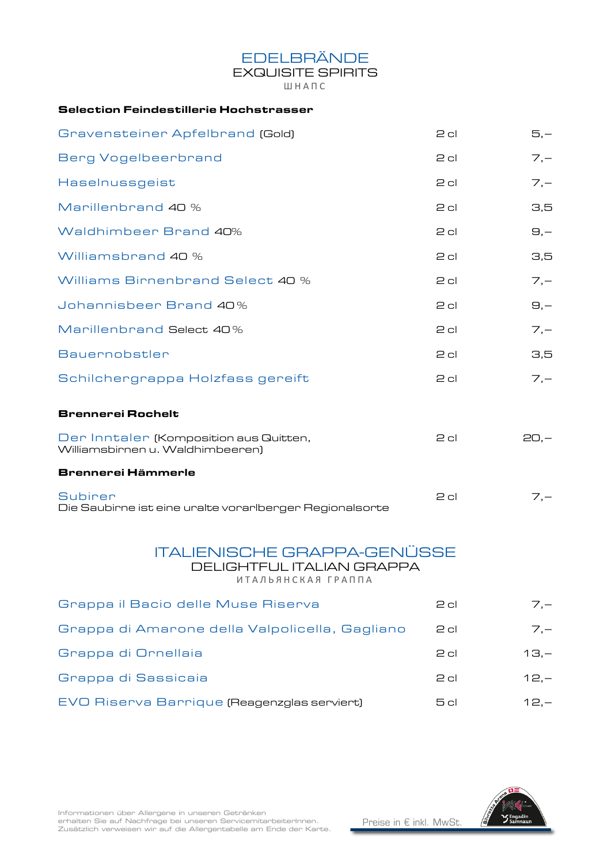### EDELBRÄNDE

### EXQUISITE SPIRITS

Ш Н А П С

#### Selection Feindestillerie Hochstrasser

| Gravensteiner Apfelbrand (Gold)                                                       | $2$ cl | $5,-$          |
|---------------------------------------------------------------------------------------|--------|----------------|
| <b>Berg Vogelbeerbrand</b>                                                            | $2$ cl | $7, -$         |
| Haselnussgeist                                                                        | $2$ cl | $7, -$         |
| Marillenbrand 40 %                                                                    | $2$ cl | 3,5            |
| Waldhimbeer Brand 40%                                                                 | $2$ cl | $\Theta$ ,-    |
| Williamsbrand 40 %                                                                    | $2$ cl | 3,5            |
| Williams Birnenbrand Select 40 %                                                      | $2$ cl | $7, -$         |
| Johannisbeer Brand 40%                                                                | $2$ cl | $\Theta$ , $-$ |
| Marillenbrand Select 40%                                                              | $2$ cl | $7, -$         |
| Bauernobstler                                                                         | $2$ cl | 3,5            |
| Schilchergrappa Holzfass gereift                                                      | $2$ cl | $7, -$         |
| <b>Brennerei Rochelt</b>                                                              |        |                |
| Der Inntaler (Komposition aus Quitten,<br>Williamsbirnen u. Waldhimbeeren)            | $2$ cl | $20, -$        |
| <b>Brennerei Hämmerle</b>                                                             |        |                |
| <b>Subirer</b><br>Die Saubirne ist eine uralte vorarlberger Regionalsorte             | $2$ cl | $7, -$         |
| <b>ITALIENISCHE GRAPPA-GENÜSSE</b><br>DELIGHTFUL ITALIAN GRAPPA<br>ИТАЛЬЯНСКАЯ ГРАППА |        |                |
| Grappa il Bacio delle Muse Riserva                                                    | $2$ cl | $7, -$         |
| Grappa di Amarone della Valpolicella, Gagliano                                        | $2$ cl | $7, -$         |
| Grappa di Ornellaia                                                                   | $2$ cl | $13,-$         |
| Grappa di Sassicaia                                                                   | $2$ cl | $12, -$        |
| EVO Riserva Barrique (Reagenzglas serviert)                                           | 5cl    | $12, -$        |



Informationen über Allergene in unseren Getränken<br>erhalten Sie auf Nachfrage bei unseren ServicemitarbeiterInnen.

Zusätzlich verweisen wir auf die Allergentabelle am Ende der Karte.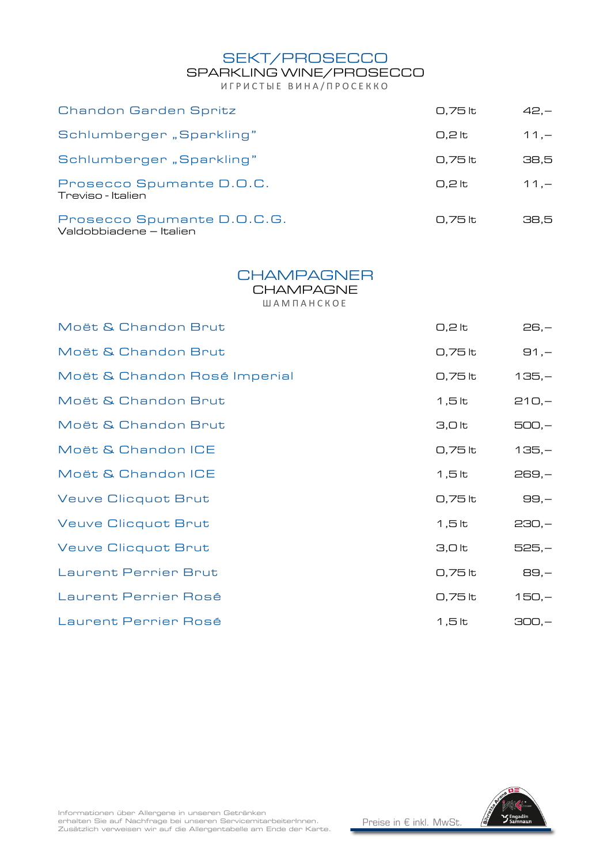SEKT/PROSECCO

## SPARKLING WINE/PROSECCO

ИГРИСТЫЕ ВИНА/ПРОСЕККО

| Chandon Garden Spritz                                 | 0,75 lt  | $42 -$  |
|-------------------------------------------------------|----------|---------|
| Schlumberger "Sparkling"                              | 0.2 lt   | $11. -$ |
| Schlumberger "Sparkling"                              | 0.75 lt  | 38.5    |
| Prosecco Spumante D.O.C.<br>Treviso - Italien         | $0.2$ It | $11 -$  |
| Prosecco Spumante D.O.C.G.<br>Valdobbiadene – Italien | 0.75 lt  | 38.5    |

#### **CHAMPAGNER**

**CHAMPAGNE** 

Ш А М П А Н С К О Е

| Moët & Chandon Brut          | $0,2$ lt          | $26, -$  |
|------------------------------|-------------------|----------|
| Moët & Chandon Brut          | 0,75 lt           | $91, -$  |
| Moët & Chandon Rosé Imperial | 0,75 lt           | $135,-$  |
| Moët & Chandon Brut          | $1,5$ lt          | $210,-$  |
| Moët & Chandon Brut          | 3,0 <sub>lt</sub> | $500,-$  |
| Moët & Chandon ICE           | 0,75 lt           | $135,-$  |
| Moët & Chandon ICE           | $1,5$ lt          | $269, -$ |
| <b>Veuve Clicquot Brut</b>   | 0,75 lt           | $99,-$   |
| <b>Veuve Clicquot Brut</b>   | $1,5$ lt          | $230,-$  |
| <b>Veuve Clicquot Brut</b>   | 3,0 lt            | $525,-$  |
| <b>Laurent Perrier Brut</b>  | 0,75 lt           | 89,-     |
| Laurent Perrier Rosé         | 0,75 lt           | $150,-$  |
| Laurent Perrier Rosé         | $1,5$ lt          | $300,-$  |

Informationen über Allergene in unseren Getränken<br>erhalten Sie auf Nachfrage bei unseren ServicemitarbeiterInnen. Zusätzlich verweisen wir auf die Allergentabelle am Ende der Karte.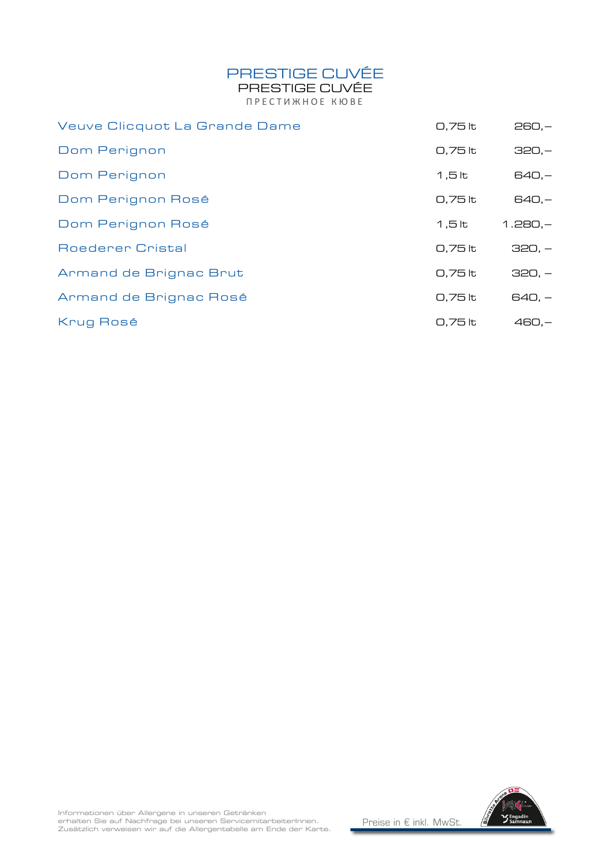# PRESTIGE CUVÉE

PRESTIGE CUVÉE ПРЕСТИЖНОЕ КЮВЕ

| Veuve Clicquot La Grande Dame | 0,75 lt   | $260,-$   |
|-------------------------------|-----------|-----------|
| Dom Perignon                  | 0,75 lt   | $320,-$   |
| Dom Perignon                  | $1,5$ lt  | $640,-$   |
| Dom Perignon Rosé             | 0,75 lt   | $640,-$   |
| Dom Perignon Rosé             | 1,5 lt    | $1.280,-$ |
| <b>Roederer Cristal</b>       | 0,75 lt   | $320, -$  |
| Armand de Brignac Brut        | 0,75 lt   | $320, -$  |
| Armand de Brignac Rosé        | 0,75 lt   | $640, -$  |
| Krug Rosé                     | $0.75$ to | $460 -$   |

erhalten Sie auf Nachfrage bei unseren ServicemitarbeiterInnen.<br>Zusätzlich verweisen wir auf die Allergentabelle am Ende der Karte.

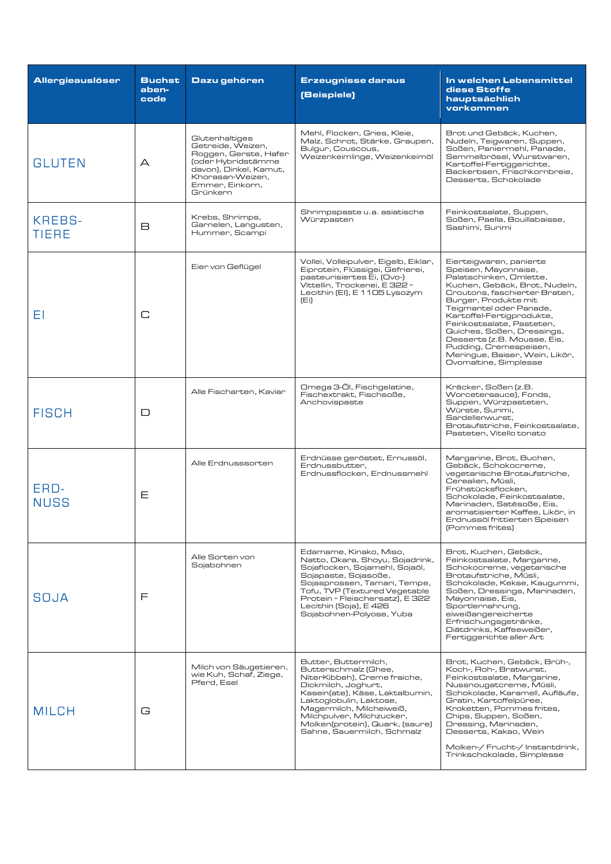| Allergieauslöser       | <b>Buchst</b><br>aben-<br>code | Dazu gehören                                                                                                                                                    | <b>Erzeugnisse daraus</b><br>(Beispiele)                                                                                                                                                                                                                                                    | In welchen Lebensmittel<br>diese Stoffe<br>hauptsächlich<br>vorkommen                                                                                                                                                                                                                                                                                                                                       |
|------------------------|--------------------------------|-----------------------------------------------------------------------------------------------------------------------------------------------------------------|---------------------------------------------------------------------------------------------------------------------------------------------------------------------------------------------------------------------------------------------------------------------------------------------|-------------------------------------------------------------------------------------------------------------------------------------------------------------------------------------------------------------------------------------------------------------------------------------------------------------------------------------------------------------------------------------------------------------|
| <b>GLUTEN</b>          | А                              | Glutenhaltiges<br>Getreide, Weizen,<br>Roggen, Gerste, Hafer<br>(oder Hybridstämme<br>davon), Dinkel, Kamut,<br>Khorasan-Weizen,<br>Emmer, Einkorn.<br>Grünkern | Mehl, Flocken, Gries, Kleie,<br>Malz, Schrot, Stärke, Graupen,<br>Bulgur, Couscous,<br>Weizenkeimlinge, Weizenkeimöl                                                                                                                                                                        | Brot und Gebäck, Kuchen,<br>Nudeln, Teigwaren, Suppen,<br>Soßen, Paniermehl, Panade,<br>Semmelbrösel. Wurstwaren.<br>Kartoffel-Fertiggerichte,<br>Backerbsen, Frischkornbreie.<br>Desserts, Schokolade                                                                                                                                                                                                      |
| KREBS-<br><b>TIERE</b> | R                              | Krebs, Shrimps,<br>Garnelen, Langusten,<br>Hummer, Scampi                                                                                                       | Shrimpspaste u.a. asiatische<br>Würzpasten                                                                                                                                                                                                                                                  | Feinkostsalate, Suppen,<br>Soßen, Paella, Bouillabaisse,<br>Sashimi, Surimi                                                                                                                                                                                                                                                                                                                                 |
| ΕI                     | C                              | Eier von Geflügel                                                                                                                                               | Vollei, Volleipulver, Eigelb, Eiklar,<br>Eiprotein, Flüssigei, Gefrierei,<br>pasteurisiertes Ei, (Ovo-)<br>Vittellin, Trockenei, E 322 =<br>Lecithin (EI), E 1105 Lysozym<br>(Ei)                                                                                                           | Eierteigwaren, panierte<br>Speisen, Mayonnaise,<br>Palatschinken, Omlette,<br>Kuchen, Gebäck, Brot, Nudeln,<br>Croutons, faschierter Braten,<br>Burger, Produkte mit<br>Teigmantel oder Panade,<br>Kartoffel-Fertigprodukte,<br>Feinkostsalate, Pasteten,<br>Quiches, Soßen, Dressings,<br>Desserts (z.B. Mousse, Eis,<br>Pudding, Cremespeisen,<br>Meringue, Baiser, Wein, Likör,<br>Ovomaltine, Simplesse |
| <b>FISCH</b>           | ◻                              | Alle Fischarten, Kaviar                                                                                                                                         | Omega 3-Öl, Fischgelatine,<br>Fischextrakt, Fischsoße,<br>Anchovispaste                                                                                                                                                                                                                     | Kräcker, Soßen (z.B.<br>Worcetersauce), Fonds,<br>Suppen, Würzpasteten,<br>Würste, Surimi,<br>Sardellenwurst.<br>Brotaufstriche, Feinkostsalate,<br>Pasteten, Vitello tonato                                                                                                                                                                                                                                |
| ERD-<br><b>NUSS</b>    | Ε                              | Alle Erdnusssorten                                                                                                                                              | Erdnüsse geröstet, Ernussöl,<br>Erdnussbutter,<br>Erdnussflocken, Erdnussmehl                                                                                                                                                                                                               | Margarine, Brot, Buchen,<br>Gebäck, Schokocreme,<br>vegetarische Brotaufstriche,<br>Cerealien, Müsli,<br>Frühstücksflocken.<br>Schokolade, Feinkostsalate,<br>Marinaden, Satésoße, Eis.<br>aromatisierter Kaffee, Likör, in<br>Erdnussöl frittierten Speisen<br>(Pommes frites)                                                                                                                             |
| SOJA                   | F                              | Alle Sorten von<br>Sojabohnen                                                                                                                                   | Edamame, Kinako, Miso,<br>Natto, Okara, Shoyu, Sojadrink,<br>Sojaflocken, Sojamehl, Sojaöl,<br>Sojapaste, Sojasoße,<br>Sojasprossen, Tamari, Tempe,<br>Tofu, TVP (Textured Vegetable<br>Protein = Fleischersatz), E 322<br>Lecithin (Soja), E 426<br>Sojabohnen-Polyose, Yuba               | Brot, Kuchen, Gebäck,<br>Feinkostsalate, Margarine,<br>Schokocreme, vegetarische<br>Brotaufstriche, Müsli,<br>Schokolade, Kekse, Kaugummi,<br>Soßen, Dressings, Marinaden,<br>Mayonnaise, Eis,<br>Sportlernahrung,<br>eiweißangereicherte<br>Erfrischungsgetränke,<br>Diätdrinks, Kaffeeweißer,<br>Fertiggerichte aller Art                                                                                 |
| <b>MILCH</b>           | G                              | Milch von Säugetieren,<br>wie Kuh, Schaf, Ziege,<br>Pferd, Esel                                                                                                 | Butter, Buttermilch,<br>Butterschmalz (Ghee,<br>NiterKibbeh), Creme fraiche,<br>Dickmilch, Joghurt,<br>Kasein(ate), Käse, Laktalbumin,<br>Laktoglobulin, Laktose,<br>Magermilch, Milcheiweiß,<br>Milchpulver, Milchzucker,<br>Molken(protein), Quark, (saure)<br>Sahne, Sauermilch, Schmalz | Brot, Kuchen, Gebäck, Brüh-,<br>Koch-, Roh-, Bratwurst,<br>Feinkostsalate, Margarine,<br>Nussnougatcreme, Müsli,<br>Schokolade, Karamell, Aufläufe,<br>Gratin, Kartoffelpüree,<br>Kroketten, Pommes frites,<br>Chips, Suppen, Soßen,<br>Dressing, Marinaden,<br>Desserts, Kakao, Wein<br>Molken-/ Frucht-/ Instantdrink,<br>Trinkschokolade, Simplesse                                                      |